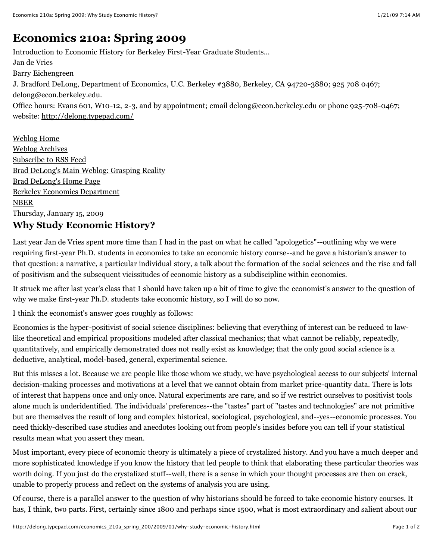# **[Economics 210a: Spring 2009](http://delong.typepad.com/economics_210a_spring_200/)**

Introduction to Economic History for Berkeley First-Year Graduate Students... Jan de Vries Barry Eichengreen J. Bradford DeLong, Department of Economics, U.C. Berkeley #3880, Berkeley, CA 94720-3880; 925 708 0467; delong@econ.berkeley.edu. Office hours: Evans 601, W10-12, 2-3, and by appointment; email delong@econ.berkeley.edu or phone 925-708-0467; website: <http://delong.typepad.com/>

[Weblog Home](http://delong.typepad.com/brad_delongs_economics_20/) [Weblog Archives](http://delong.typepad.com/brad_delongs_economics_20/archives.html) [Subscribe to RSS Feed](http://delong.typepad.com/brad_delongs_economics_20/atom.xml) [Brad DeLong's Main Weblog: Grasping Reality](http://delong.typepad.com/) [Brad DeLong's Home Page](http://delong.typepad.com/main) [Berkeley Economics Department](http://econ.berkeley.edu/) [NBER](http://www.nber.org/) Thursday, January 15, 2009

# **Why Study Economic History?**

Last year Jan de Vries spent more time than I had in the past on what he called "apologetics"--outlining why we were requiring first-year Ph.D. students in economics to take an economic history course--and he gave a historian's answer to that question: a narrative, a particular individual story, a talk about the formation of the social sciences and the rise and fall of positivism and the subsequent vicissitudes of economic history as a subdiscipline within economics.

It struck me after last year's class that I should have taken up a bit of time to give the economist's answer to the question of why we make first-year Ph.D. students take economic history, so I will do so now.

I think the economist's answer goes roughly as follows:

Economics is the hyper-positivist of social science disciplines: believing that everything of interest can be reduced to lawlike theoretical and empirical propositions modeled after classical mechanics; that what cannot be reliably, repeatedly, quantitatively, and empirically demonstrated does not really exist as knowledge; that the only good social science is a deductive, analytical, model-based, general, experimental science.

But this misses a lot. Because we are people like those whom we study, we have psychological access to our subjects' internal decision-making processes and motivations at a level that we cannot obtain from market price-quantity data. There is lots of interest that happens once and only once. Natural experiments are rare, and so if we restrict ourselves to positivist tools alone much is underidentified. The individuals' preferences--the "tastes" part of "tastes and technologies" are not primitive but are themselves the result of long and complex historical, sociological, psychological, and--yes--economic processes. You need thickly-described case studies and anecdotes looking out from people's insides before you can tell if your statistical results mean what you assert they mean.

Most important, every piece of economic theory is ultimately a piece of crystalized history. And you have a much deeper and more sophisticated knowledge if you know the history that led people to think that elaborating these particular theories was worth doing. If you just do the crystalized stuff--well, there is a sense in which your thought processes are then on crack, unable to properly process and reflect on the systems of analysis you are using.

Of course, there is a parallel answer to the question of why historians should be forced to take economic history courses. It has, I think, two parts. First, certainly since 1800 and perhaps since 1500, what is most extraordinary and salient about our